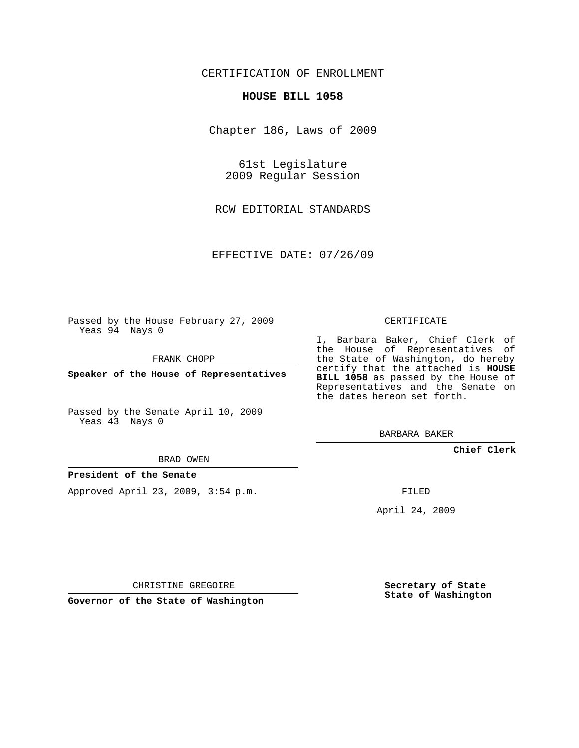## CERTIFICATION OF ENROLLMENT

### **HOUSE BILL 1058**

Chapter 186, Laws of 2009

61st Legislature 2009 Regular Session

RCW EDITORIAL STANDARDS

EFFECTIVE DATE: 07/26/09

Passed by the House February 27, 2009 Yeas 94 Nays 0

FRANK CHOPP

**Speaker of the House of Representatives**

Passed by the Senate April 10, 2009 Yeas 43 Nays 0

#### BRAD OWEN

## **President of the Senate**

Approved April 23, 2009, 3:54 p.m.

CERTIFICATE

I, Barbara Baker, Chief Clerk of the House of Representatives of the State of Washington, do hereby certify that the attached is **HOUSE BILL 1058** as passed by the House of Representatives and the Senate on the dates hereon set forth.

BARBARA BAKER

**Chief Clerk**

FILED

April 24, 2009

CHRISTINE GREGOIRE

**Governor of the State of Washington**

**Secretary of State State of Washington**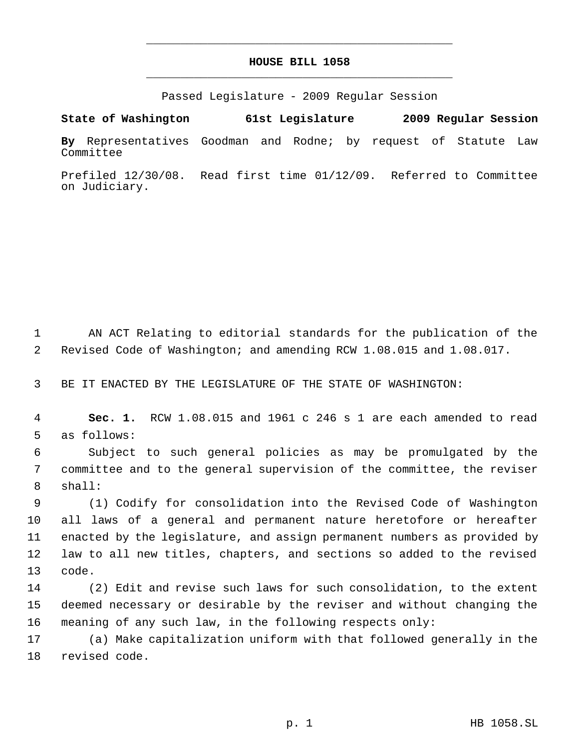# **HOUSE BILL 1058** \_\_\_\_\_\_\_\_\_\_\_\_\_\_\_\_\_\_\_\_\_\_\_\_\_\_\_\_\_\_\_\_\_\_\_\_\_\_\_\_\_\_\_\_\_

\_\_\_\_\_\_\_\_\_\_\_\_\_\_\_\_\_\_\_\_\_\_\_\_\_\_\_\_\_\_\_\_\_\_\_\_\_\_\_\_\_\_\_\_\_

Passed Legislature - 2009 Regular Session

**State of Washington 61st Legislature 2009 Regular Session By** Representatives Goodman and Rodne; by request of Statute Law Committee

Prefiled 12/30/08. Read first time 01/12/09. Referred to Committee on Judiciary.

 AN ACT Relating to editorial standards for the publication of the Revised Code of Washington; and amending RCW 1.08.015 and 1.08.017.

BE IT ENACTED BY THE LEGISLATURE OF THE STATE OF WASHINGTON:

 **Sec. 1.** RCW 1.08.015 and 1961 c 246 s 1 are each amended to read as follows:

 Subject to such general policies as may be promulgated by the committee and to the general supervision of the committee, the reviser shall:

 (1) Codify for consolidation into the Revised Code of Washington all laws of a general and permanent nature heretofore or hereafter enacted by the legislature, and assign permanent numbers as provided by law to all new titles, chapters, and sections so added to the revised code.

 (2) Edit and revise such laws for such consolidation, to the extent deemed necessary or desirable by the reviser and without changing the meaning of any such law, in the following respects only:

 (a) Make capitalization uniform with that followed generally in the revised code.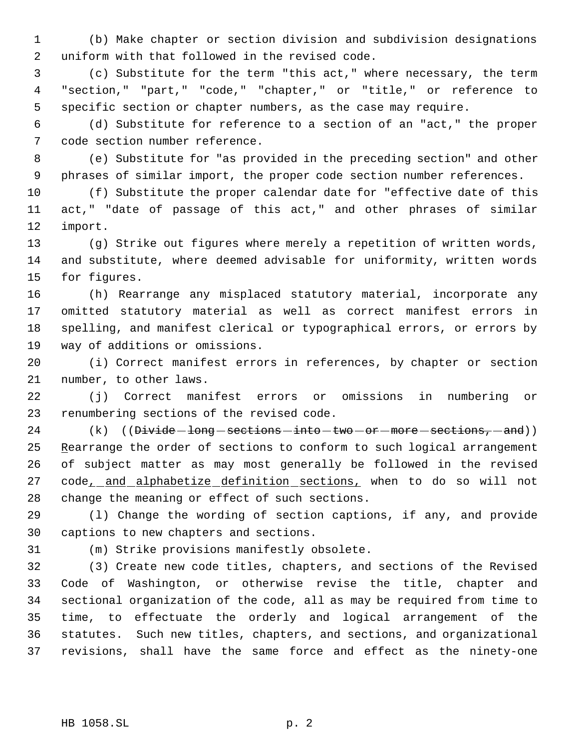(b) Make chapter or section division and subdivision designations uniform with that followed in the revised code.

 (c) Substitute for the term "this act," where necessary, the term "section," "part," "code," "chapter," or "title," or reference to specific section or chapter numbers, as the case may require.

 (d) Substitute for reference to a section of an "act," the proper code section number reference.

 (e) Substitute for "as provided in the preceding section" and other phrases of similar import, the proper code section number references.

 (f) Substitute the proper calendar date for "effective date of this act," "date of passage of this act," and other phrases of similar import.

 (g) Strike out figures where merely a repetition of written words, and substitute, where deemed advisable for uniformity, written words for figures.

 (h) Rearrange any misplaced statutory material, incorporate any omitted statutory material as well as correct manifest errors in spelling, and manifest clerical or typographical errors, or errors by way of additions or omissions.

 (i) Correct manifest errors in references, by chapter or section number, to other laws.

 (j) Correct manifest errors or omissions in numbering or renumbering sections of the revised code.

24  $(k)$   $((\overline{Divide - long - sections - into - two - or - more - sections, -and}))$ 25 Rearrange the order of sections to conform to such logical arrangement of subject matter as may most generally be followed in the revised 27 code<sub>\_</sub>\_and\_alphabetize\_definition\_sections, when to do so will not change the meaning or effect of such sections.

 (l) Change the wording of section captions, if any, and provide captions to new chapters and sections.

(m) Strike provisions manifestly obsolete.

 (3) Create new code titles, chapters, and sections of the Revised Code of Washington, or otherwise revise the title, chapter and sectional organization of the code, all as may be required from time to time, to effectuate the orderly and logical arrangement of the statutes. Such new titles, chapters, and sections, and organizational revisions, shall have the same force and effect as the ninety-one